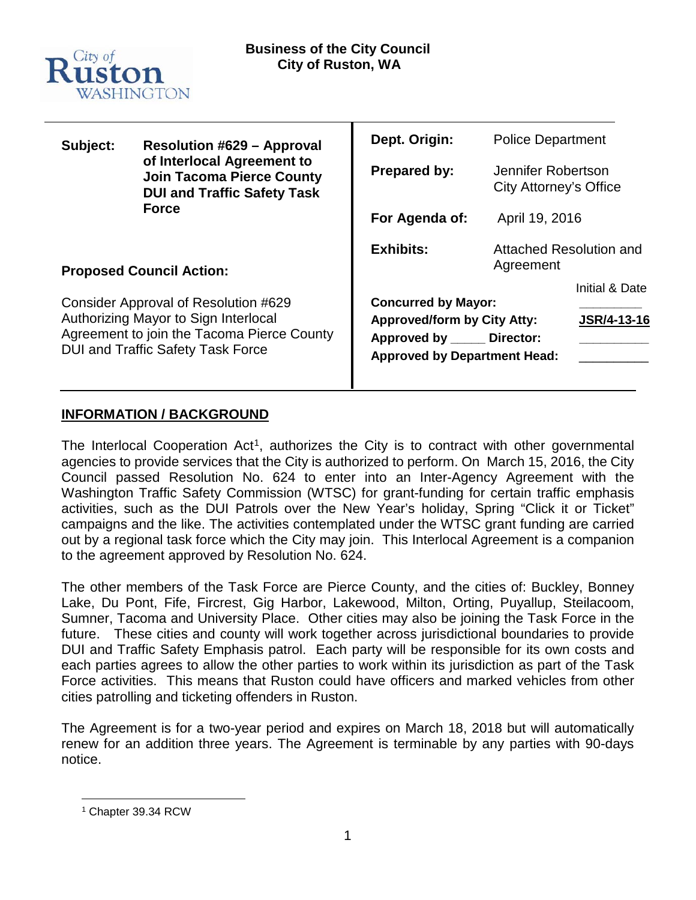

| Subject:                                                                                                                                                               | <b>Resolution #629 - Approval</b><br>of Interlocal Agreement to<br><b>Join Tacoma Pierce County</b><br><b>DUI and Traffic Safety Task</b><br><b>Force</b> | Dept. Origin:                                                                                                                          | <b>Police Department</b>                     |                               |
|------------------------------------------------------------------------------------------------------------------------------------------------------------------------|-----------------------------------------------------------------------------------------------------------------------------------------------------------|----------------------------------------------------------------------------------------------------------------------------------------|----------------------------------------------|-------------------------------|
|                                                                                                                                                                        |                                                                                                                                                           | <b>Prepared by:</b>                                                                                                                    | Jennifer Robertson<br>City Attorney's Office |                               |
|                                                                                                                                                                        |                                                                                                                                                           | For Agenda of:                                                                                                                         | April 19, 2016                               |                               |
| <b>Proposed Council Action:</b>                                                                                                                                        |                                                                                                                                                           | <b>Exhibits:</b>                                                                                                                       | Attached Resolution and<br>Agreement         |                               |
| Consider Approval of Resolution #629<br>Authorizing Mayor to Sign Interlocal<br>Agreement to join the Tacoma Pierce County<br><b>DUI and Traffic Safety Task Force</b> |                                                                                                                                                           | <b>Concurred by Mayor:</b><br><b>Approved/form by City Atty:</b><br>Approved by _____ Director:<br><b>Approved by Department Head:</b> |                                              | Initial & Date<br>JSR/4-13-16 |

### **INFORMATION / BACKGROUND**

The Interlocal Cooperation Act<sup>[1](#page-0-0)</sup>, authorizes the City is to contract with other governmental agencies to provide services that the City is authorized to perform. On March 15, 2016, the City Council passed Resolution No. 624 to enter into an Inter-Agency Agreement with the Washington Traffic Safety Commission (WTSC) for grant-funding for certain traffic emphasis activities, such as the DUI Patrols over the New Year's holiday, Spring "Click it or Ticket" campaigns and the like. The activities contemplated under the WTSC grant funding are carried out by a regional task force which the City may join. This Interlocal Agreement is a companion to the agreement approved by Resolution No. 624.

The other members of the Task Force are Pierce County, and the cities of: Buckley, Bonney Lake, Du Pont, Fife, Fircrest, Gig Harbor, Lakewood, Milton, Orting, Puyallup, Steilacoom, Sumner, Tacoma and University Place. Other cities may also be joining the Task Force in the future. These cities and county will work together across jurisdictional boundaries to provide DUI and Traffic Safety Emphasis patrol. Each party will be responsible for its own costs and each parties agrees to allow the other parties to work within its jurisdiction as part of the Task Force activities. This means that Ruston could have officers and marked vehicles from other cities patrolling and ticketing offenders in Ruston.

The Agreement is for a two-year period and expires on March 18, 2018 but will automatically renew for an addition three years. The Agreement is terminable by any parties with 90-days notice.

<span id="page-0-0"></span> <sup>1</sup> Chapter 39.34 RCW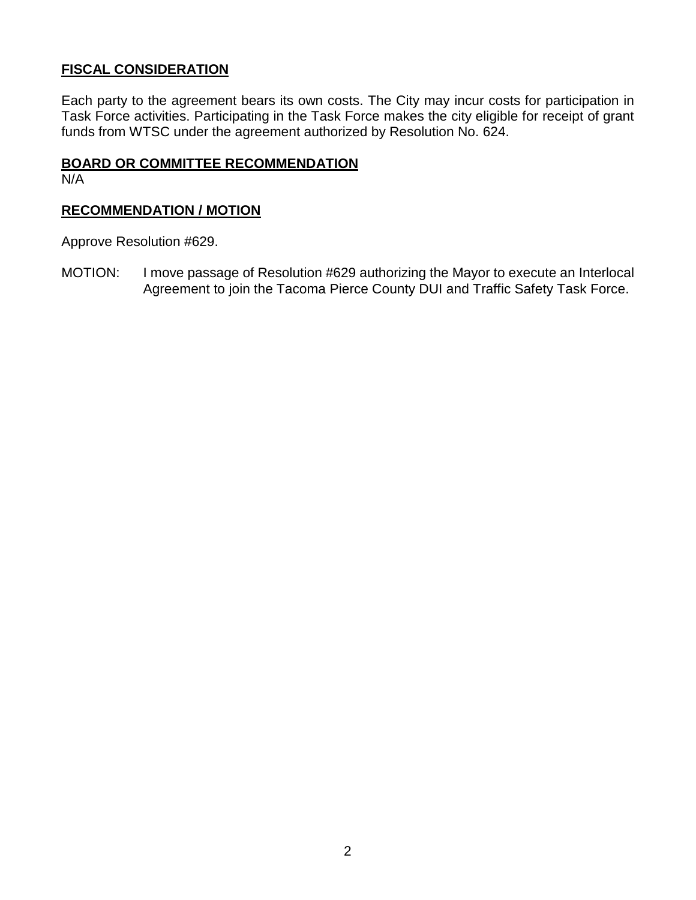## **FISCAL CONSIDERATION**

Each party to the agreement bears its own costs. The City may incur costs for participation in Task Force activities. Participating in the Task Force makes the city eligible for receipt of grant funds from WTSC under the agreement authorized by Resolution No. 624.

#### **BOARD OR COMMITTEE RECOMMENDATION**

N/A

## **RECOMMENDATION / MOTION**

Approve Resolution #629.

MOTION: I move passage of Resolution #629 authorizing the Mayor to execute an Interlocal Agreement to join the Tacoma Pierce County DUI and Traffic Safety Task Force.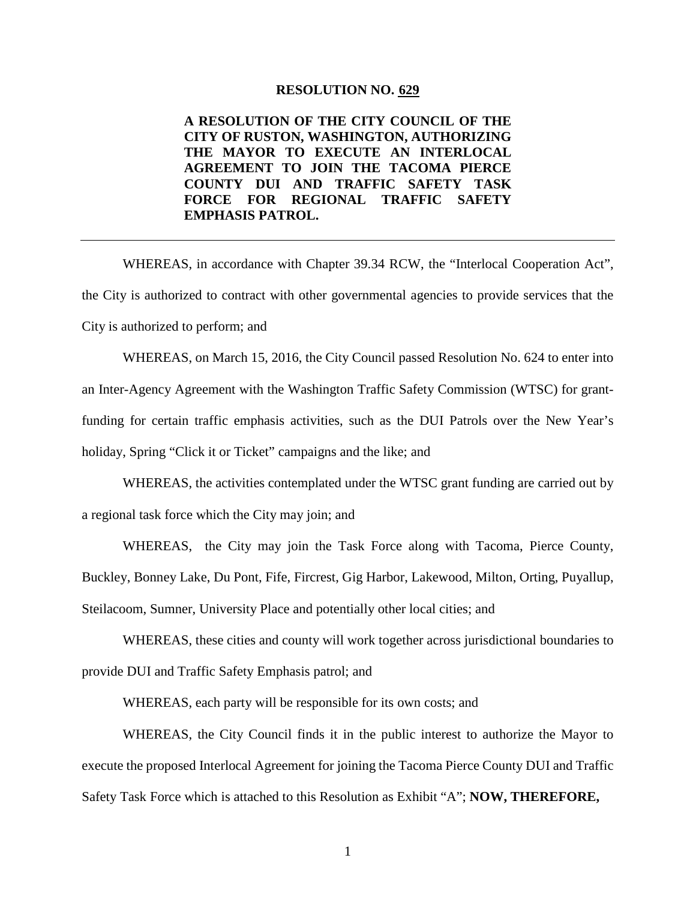#### **RESOLUTION NO. 629**

**A RESOLUTION OF THE CITY COUNCIL OF THE CITY OF RUSTON, WASHINGTON, AUTHORIZING THE MAYOR TO EXECUTE AN INTERLOCAL AGREEMENT TO JOIN THE TACOMA PIERCE COUNTY DUI AND TRAFFIC SAFETY TASK FORCE FOR REGIONAL TRAFFIC SAFETY EMPHASIS PATROL.**

WHEREAS, in accordance with Chapter 39.34 RCW, the "Interlocal Cooperation Act", the City is authorized to contract with other governmental agencies to provide services that the City is authorized to perform; and

WHEREAS, on March 15, 2016, the City Council passed Resolution No. 624 to enter into an Inter-Agency Agreement with the Washington Traffic Safety Commission (WTSC) for grantfunding for certain traffic emphasis activities, such as the DUI Patrols over the New Year's holiday, Spring "Click it or Ticket" campaigns and the like; and

WHEREAS, the activities contemplated under the WTSC grant funding are carried out by a regional task force which the City may join; and

WHEREAS, the City may join the Task Force along with Tacoma, Pierce County, Buckley, Bonney Lake, Du Pont, Fife, Fircrest, Gig Harbor, Lakewood, Milton, Orting, Puyallup, Steilacoom, Sumner, University Place and potentially other local cities; and

WHEREAS, these cities and county will work together across jurisdictional boundaries to provide DUI and Traffic Safety Emphasis patrol; and

WHEREAS, each party will be responsible for its own costs; and

WHEREAS, the City Council finds it in the public interest to authorize the Mayor to execute the proposed Interlocal Agreement for joining the Tacoma Pierce County DUI and Traffic Safety Task Force which is attached to this Resolution as Exhibit "A"; **NOW, THEREFORE,**

1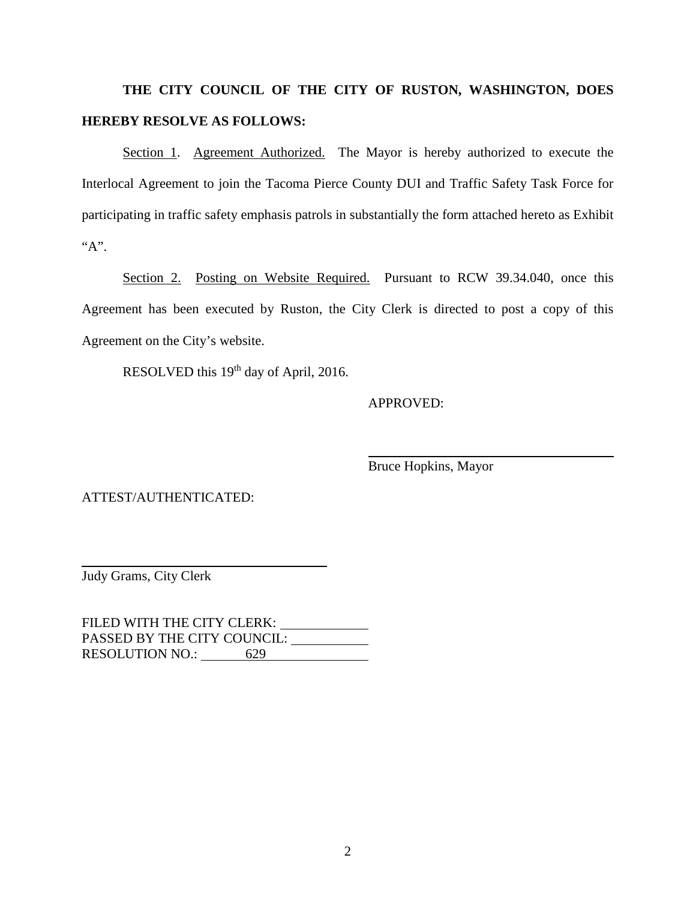# **THE CITY COUNCIL OF THE CITY OF RUSTON, WASHINGTON, DOES HEREBY RESOLVE AS FOLLOWS:**

Section 1. Agreement Authorized. The Mayor is hereby authorized to execute the Interlocal Agreement to join the Tacoma Pierce County DUI and Traffic Safety Task Force for participating in traffic safety emphasis patrols in substantially the form attached hereto as Exhibit " $A$ ".

Section 2. Posting on Website Required. Pursuant to RCW 39.34.040, once this Agreement has been executed by Ruston, the City Clerk is directed to post a copy of this Agreement on the City's website.

RESOLVED this 19<sup>th</sup> day of April, 2016.

#### APPROVED:

Bruce Hopkins, Mayor

ATTEST/AUTHENTICATED:

Judy Grams, City Clerk

FILED WITH THE CITY CLERK: \_\_\_\_\_\_\_\_\_\_\_\_\_ PASSED BY THE CITY COUNCIL: RESOLUTION NO.: 629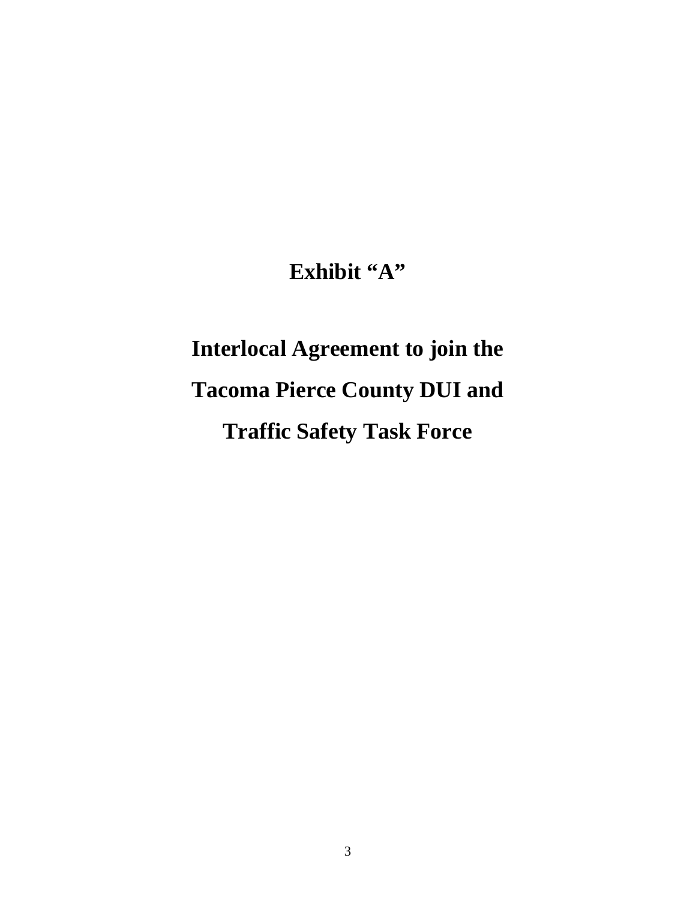# **Exhibit "A"**

# **Interlocal Agreement to join the Tacoma Pierce County DUI and Traffic Safety Task Force**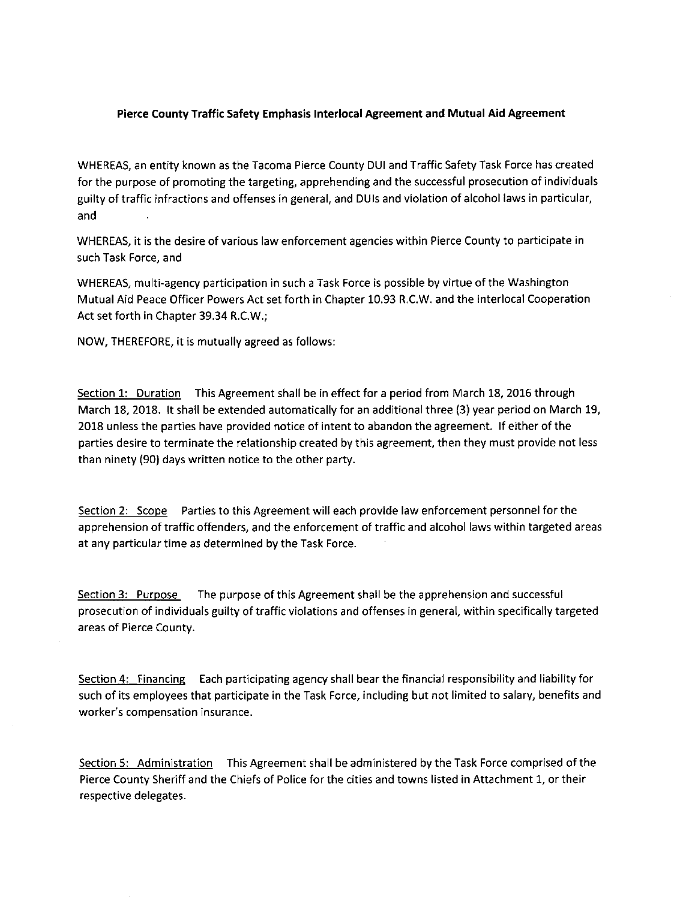#### Pierce County Traffic Safety Emphasis Interlocal Agreement and Mutual Aid Agreement

WHEREAS, an entity known as the Tacoma Pierce County DUI and Traffic Safety Task Force has created for the purpose of promoting the targeting, apprehending and the successful prosecution of individuals guilty of traffic infractions and offenses in general, and DUIs and violation of alcohol laws in particular, and

WHEREAS, it is the desire of various law enforcement agencies within Pierce County to participate in such Task Force, and

WHEREAS, multi-agency participation in such a Task Force is possible by virtue of the Washington Mutual Aid Peace Officer Powers Act set forth in Chapter 10.93 R.C.W. and the Interlocal Cooperation Act set forth in Chapter 39.34 R.C.W.;

NOW, THEREFORE, it is mutually agreed as follows:

Section 1: Duration This Agreement shall be in effect for a period from March 18, 2016 through March 18, 2018. It shall be extended automatically for an additional three (3) year period on March 19, 2018 unless the parties have provided notice of intent to abandon the agreement. If either of the parties desire to terminate the relationship created by this agreement, then they must provide not less than ninety (90) days written notice to the other party.

Section 2: Scope Parties to this Agreement will each provide law enforcement personnel for the apprehension of traffic offenders, and the enforcement of traffic and alcohol laws within targeted areas at any particular time as determined by the Task Force.

The purpose of this Agreement shall be the apprehension and successful Section 3: Purpose prosecution of individuals guilty of traffic violations and offenses in general, within specifically targeted areas of Pierce County.

Section 4: Financing Each participating agency shall bear the financial responsibility and liability for such of its employees that participate in the Task Force, including but not limited to salary, benefits and worker's compensation insurance.

Section 5: Administration This Agreement shall be administered by the Task Force comprised of the Pierce County Sheriff and the Chiefs of Police for the cities and towns listed in Attachment 1, or their respective delegates.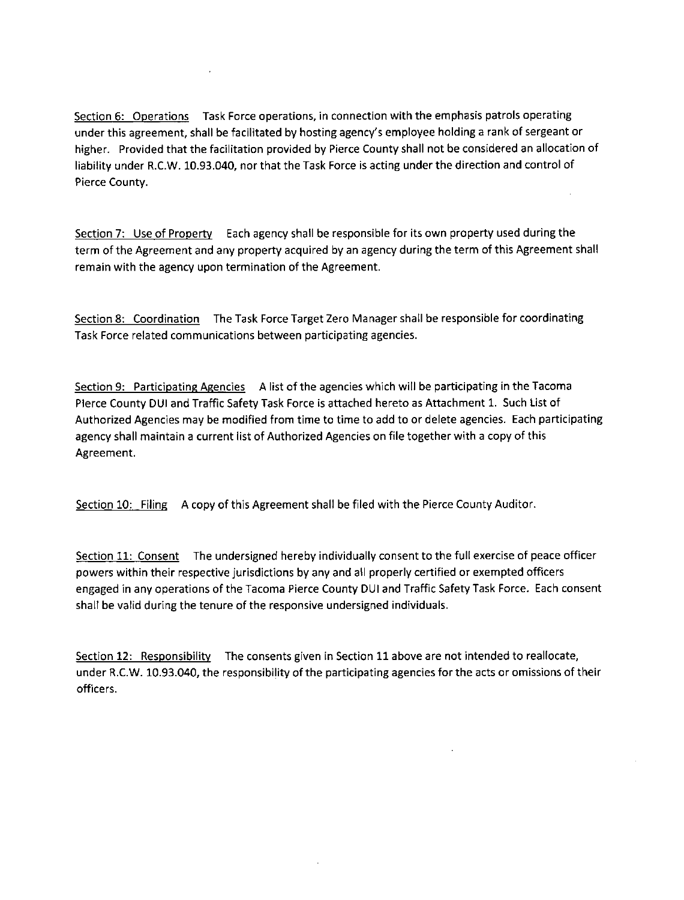Section 6: Operations Task Force operations, in connection with the emphasis patrols operating under this agreement, shall be facilitated by hosting agency's employee holding a rank of sergeant or higher. Provided that the facilitation provided by Pierce County shall not be considered an allocation of liability under R.C.W. 10.93.040, nor that the Task Force is acting under the direction and control of Pierce County.

Section 7: Use of Property Each agency shall be responsible for its own property used during the term of the Agreement and any property acquired by an agency during the term of this Agreement shall remain with the agency upon termination of the Agreement.

Section 8: Coordination The Task Force Target Zero Manager shall be responsible for coordinating Task Force related communications between participating agencies.

Section 9: Participating Agencies A list of the agencies which will be participating in the Tacoma Plerce County DUI and Traffic Safety Task Force is attached hereto as Attachment 1. Such List of Authorized Agencies may be modified from time to time to add to or delete agencies. Each participating agency shall maintain a current list of Authorized Agencies on file together with a copy of this Agreement.

Section 10: Filing A copy of this Agreement shall be filed with the Pierce County Auditor.

Section 11: Consent The undersigned hereby individually consent to the full exercise of peace officer powers within their respective jurisdictions by any and all properly certified or exempted officers engaged in any operations of the Tacoma Pierce County DUI and Traffic Safety Task Force. Each consent shall be valid during the tenure of the responsive undersigned individuals.

Section 12: Responsibility The consents given in Section 11 above are not intended to reallocate, under R.C.W. 10.93.040, the responsibility of the participating agencies for the acts or omissions of their officers.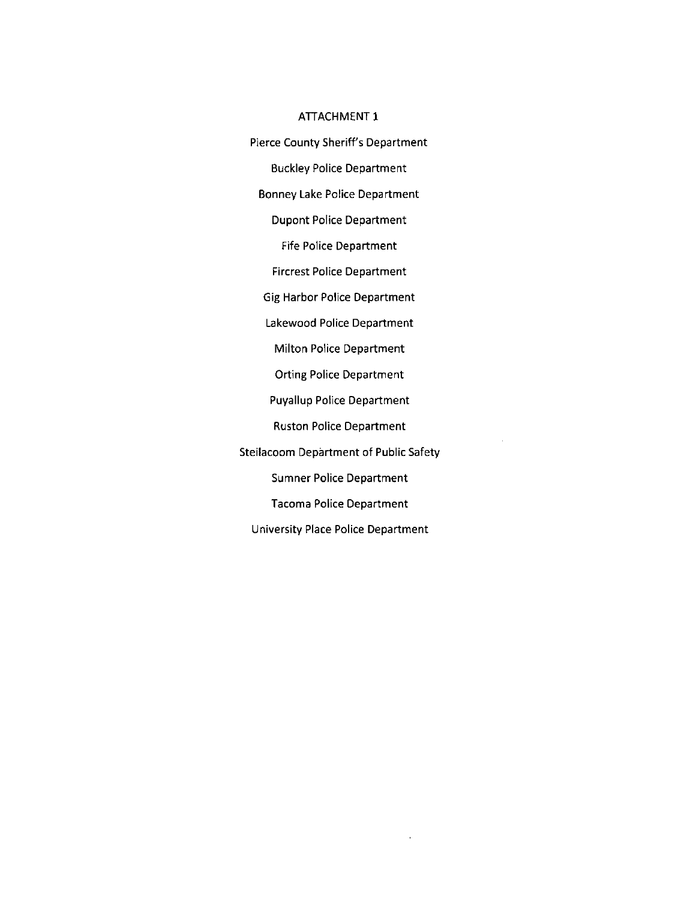#### ATTACHMENT 1

Pierce County Sheriff's Department **Buckley Police Department Bonney Lake Police Department Dupont Police Department Fife Police Department Fircrest Police Department Gig Harbor Police Department** Lakewood Police Department Milton Police Department **Orting Police Department Puyallup Police Department Ruston Police Department** Steilacoom Department of Public Safety **Sumner Police Department Tacoma Police Department** University Place Police Department

 $\hat{\mathbf{r}}$